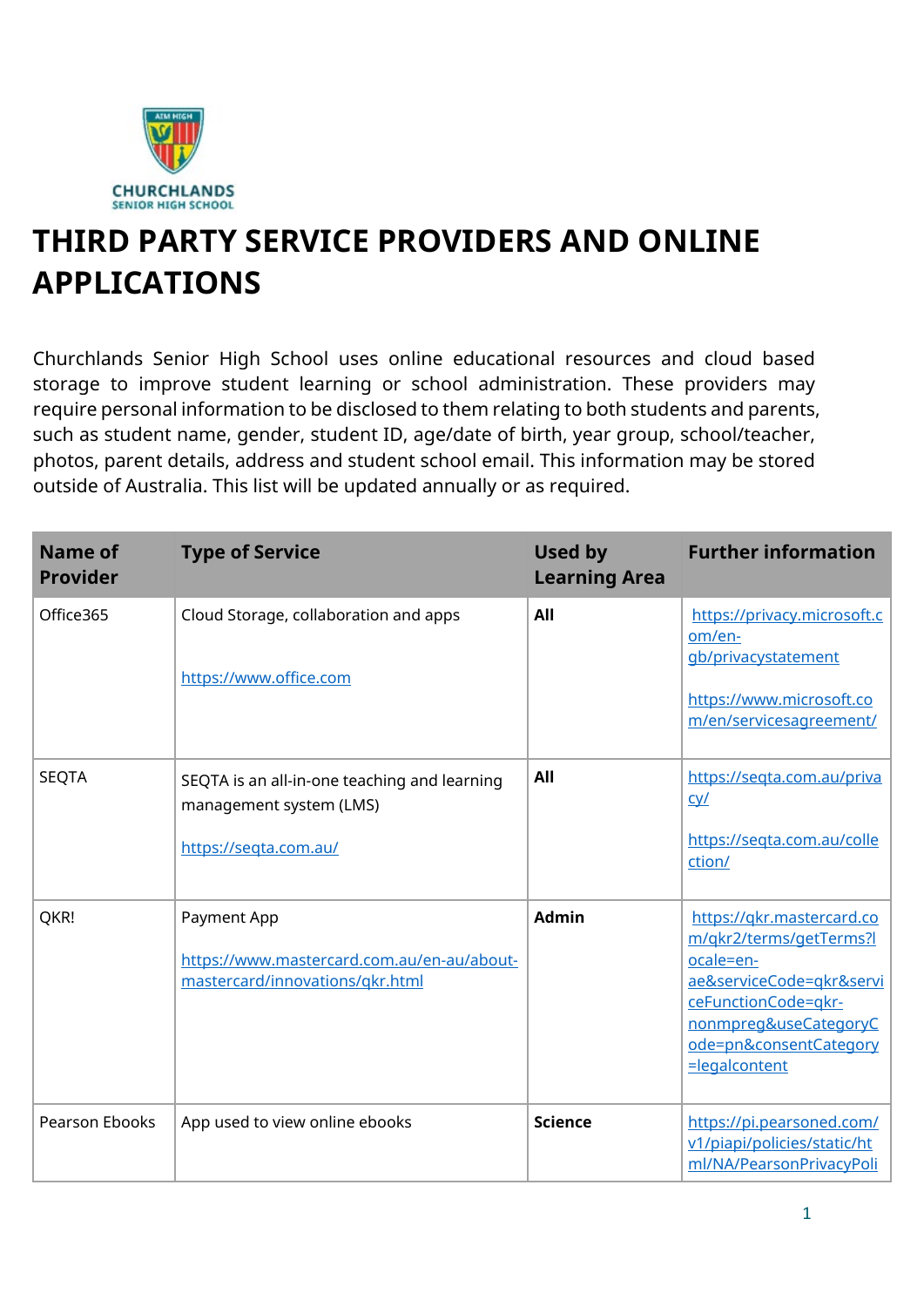

## **THIRD PARTY SERVICE PROVIDERS AND ONLINE APPLICATIONS**

Churchlands Senior High School uses online educational resources and cloud based storage to improve student learning or school administration. These providers may require personal information to be disclosed to them relating to both students and parents, such as student name, gender, student ID, age/date of birth, year group, school/teacher, photos, parent details, address and student school email. This information may be stored outside of Australia. This list will be updated annually or as required.

| <b>Name of</b><br><b>Provider</b> | <b>Type of Service</b>                                                                           | Used by<br><b>Learning Area</b> | <b>Further information</b>                                                                                                                                                                      |
|-----------------------------------|--------------------------------------------------------------------------------------------------|---------------------------------|-------------------------------------------------------------------------------------------------------------------------------------------------------------------------------------------------|
| Office365                         | Cloud Storage, collaboration and apps<br>https://www.office.com                                  | All                             | https://privacy.microsoft.c<br>om/en-<br>gb/privacystatement<br>https://www.microsoft.co<br>m/en/servicesagreement/                                                                             |
| <b>SEQTA</b>                      | SEQTA is an all-in-one teaching and learning<br>management system (LMS)<br>https://seqta.com.au/ | All                             | https://seqta.com.au/priva<br><u>cy/</u><br>https://seqta.com.au/colle<br>ction/                                                                                                                |
| QKR!                              | Payment App<br>https://www.mastercard.com.au/en-au/about-<br>mastercard/innovations/gkr.html     | <b>Admin</b>                    | https://gkr.mastercard.co<br>m/gkr2/terms/getTerms?l<br>ocale=en-<br>ae&serviceCode=akr&servi<br>ceFunctionCode=gkr-<br>nonmpreg&useCategoryC<br>ode=pn&consentCategory<br><b>=legalcontent</b> |
| <b>Pearson Ebooks</b>             | App used to view online ebooks                                                                   | <b>Science</b>                  | https://pi.pearsoned.com/<br>v1/piapi/policies/static/ht<br>ml/NA/PearsonPrivacyPoli                                                                                                            |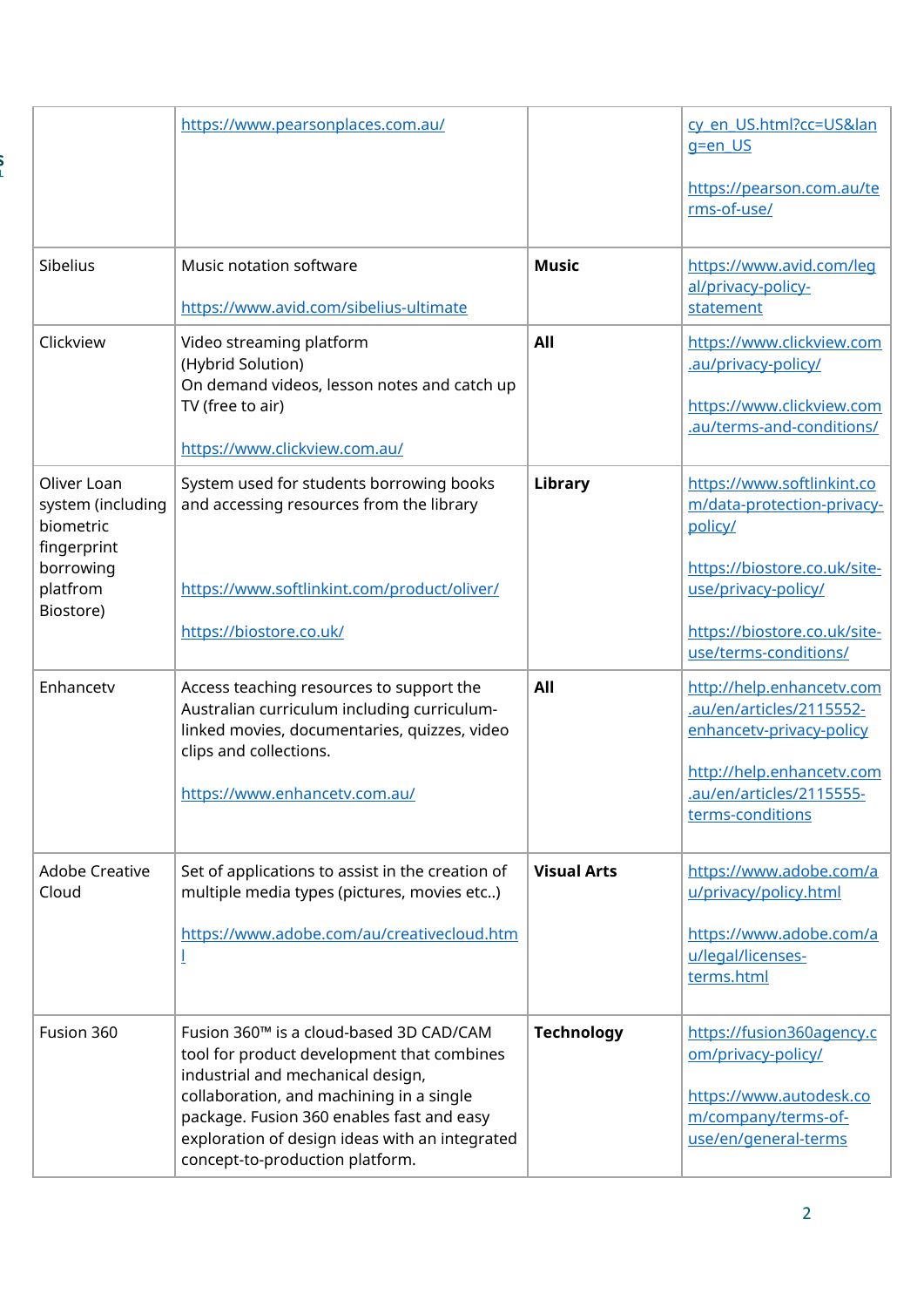|                                                                           | https://www.pearsonplaces.com.au/                                                                                                                                                                                                                                                                        |                    | cy en US.html?cc=US&lan<br>g=en US<br>https://pearson.com.au/te                                                                                                |
|---------------------------------------------------------------------------|----------------------------------------------------------------------------------------------------------------------------------------------------------------------------------------------------------------------------------------------------------------------------------------------------------|--------------------|----------------------------------------------------------------------------------------------------------------------------------------------------------------|
|                                                                           |                                                                                                                                                                                                                                                                                                          |                    | rms-of-use/                                                                                                                                                    |
| Sibelius                                                                  | Music notation software<br>https://www.avid.com/sibelius-ultimate                                                                                                                                                                                                                                        | <b>Music</b>       | https://www.avid.com/leq<br>al/privacy-policy-<br>statement                                                                                                    |
| Clickview                                                                 | Video streaming platform<br>(Hybrid Solution)<br>On demand videos, lesson notes and catch up<br>TV (free to air)<br>https://www.clickview.com.au/                                                                                                                                                        | All                | https://www.clickview.com<br>.au/privacy-policy/<br>https://www.clickview.com<br>.au/terms-and-conditions/                                                     |
| Oliver Loan<br>system (including<br>biometric<br>fingerprint<br>borrowing | System used for students borrowing books<br>and accessing resources from the library                                                                                                                                                                                                                     | Library            | https://www.softlinkint.co<br>m/data-protection-privacy-<br>policy/<br>https://biostore.co.uk/site-                                                            |
| platfrom<br>Biostore)                                                     | https://www.softlinkint.com/product/oliver/<br>https://biostore.co.uk/                                                                                                                                                                                                                                   |                    | use/privacy-policy/<br>https://biostore.co.uk/site-<br>use/terms-conditions/                                                                                   |
| Enhancetv                                                                 | Access teaching resources to support the<br>Australian curriculum including curriculum-<br>linked movies, documentaries, quizzes, video<br>clips and collections.<br>https://www.enhancetv.com.au/                                                                                                       | All                | http://help.enhancetv.com<br>.au/en/articles/2115552-<br>enhancety-privacy-policy<br>http://help.enhancetv.com<br>.au/en/articles/2115555-<br>terms-conditions |
| <b>Adobe Creative</b><br>Cloud                                            | Set of applications to assist in the creation of<br>multiple media types (pictures, movies etc)<br>https://www.adobe.com/au/creativecloud.htm                                                                                                                                                            | <b>Visual Arts</b> | https://www.adobe.com/a<br>u/privacy/policy.html<br>https://www.adobe.com/a<br>u/legal/licenses-<br>terms.html                                                 |
| Fusion 360                                                                | Fusion 360™ is a cloud-based 3D CAD/CAM<br>tool for product development that combines<br>industrial and mechanical design,<br>collaboration, and machining in a single<br>package. Fusion 360 enables fast and easy<br>exploration of design ideas with an integrated<br>concept-to-production platform. | <b>Technology</b>  | https://fusion360agency.c<br>om/privacy-policy/<br>https://www.autodesk.co<br>m/company/terms-of-<br>use/en/general-terms                                      |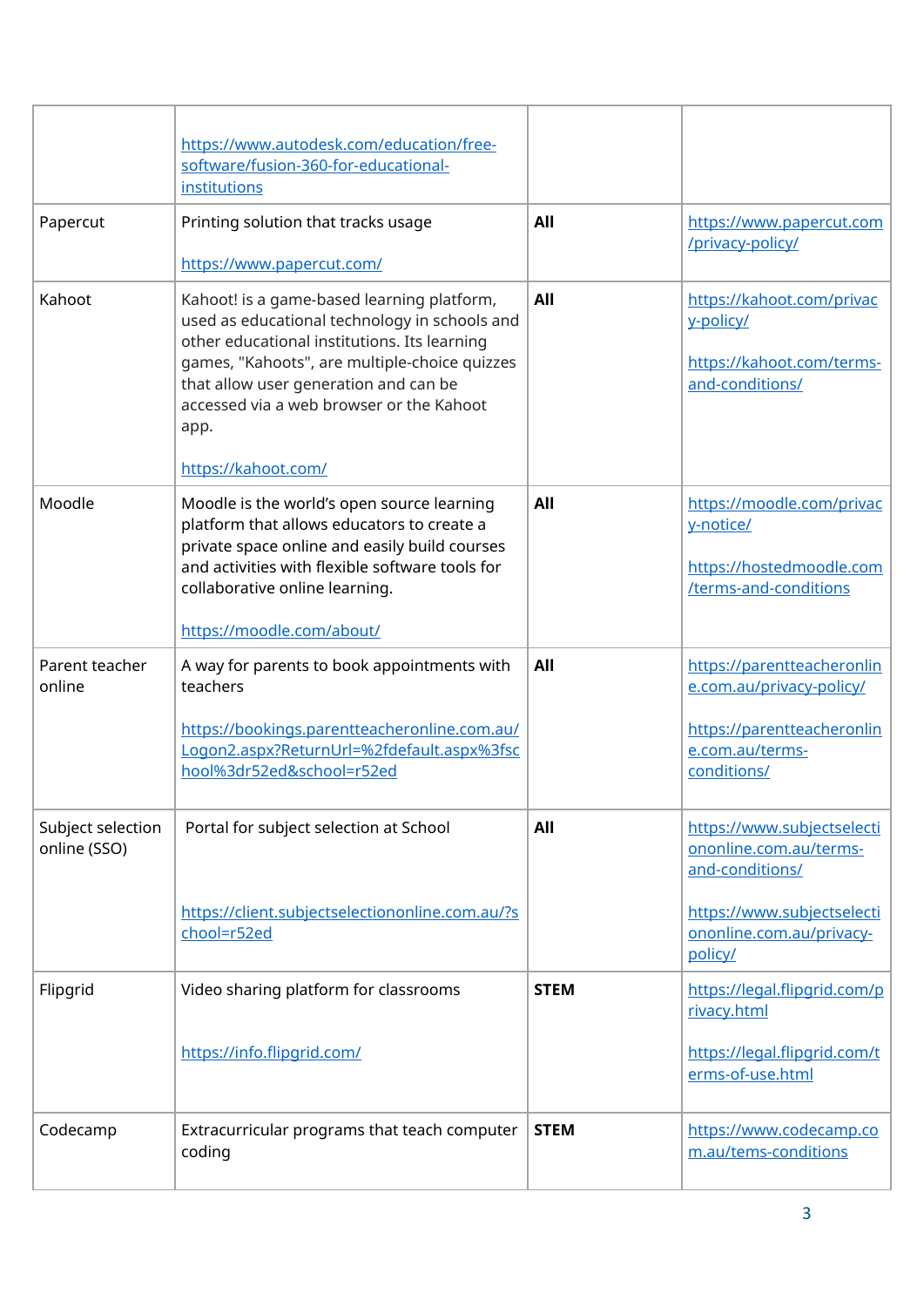|                                   | https://www.autodesk.com/education/free-                                                                                                                                                                                                                                                                         |             |                                                                                             |
|-----------------------------------|------------------------------------------------------------------------------------------------------------------------------------------------------------------------------------------------------------------------------------------------------------------------------------------------------------------|-------------|---------------------------------------------------------------------------------------------|
|                                   | software/fusion-360-for-educational-                                                                                                                                                                                                                                                                             |             |                                                                                             |
|                                   | institutions                                                                                                                                                                                                                                                                                                     |             |                                                                                             |
| Papercut                          | Printing solution that tracks usage                                                                                                                                                                                                                                                                              | All         | https://www.papercut.com<br>/privacy-policy/                                                |
|                                   | https://www.papercut.com/                                                                                                                                                                                                                                                                                        |             |                                                                                             |
| Kahoot                            | Kahoot! is a game-based learning platform,<br>used as educational technology in schools and<br>other educational institutions. Its learning<br>games, "Kahoots", are multiple-choice quizzes<br>that allow user generation and can be<br>accessed via a web browser or the Kahoot<br>app.<br>https://kahoot.com/ | All         | https://kahoot.com/privac<br>y-policy/<br>https://kahoot.com/terms-<br>and-conditions/      |
| Moodle                            | Moodle is the world's open source learning<br>platform that allows educators to create a<br>private space online and easily build courses<br>and activities with flexible software tools for<br>collaborative online learning.<br>https://moodle.com/about/                                                      | All         | https://moodle.com/privac<br>y-notice/<br>https://hostedmoodle.com<br>/terms-and-conditions |
| Parent teacher<br>online          | A way for parents to book appointments with<br>teachers                                                                                                                                                                                                                                                          | All         | https://parentteacheronlin<br>e.com.au/privacy-policy/                                      |
|                                   | https://bookings.parentteacheronline.com.au/<br>Logon2.aspx?ReturnUrl=%2fdefault.aspx%3fsc<br>hool%3dr52ed&school=r52ed                                                                                                                                                                                          |             | https://parentteacheronlin<br>e.com.au/terms-<br>conditions/                                |
| Subject selection<br>online (SSO) | Portal for subject selection at School                                                                                                                                                                                                                                                                           | All         | https://www.subjectselecti<br>ononline.com.au/terms-<br>and-conditions/                     |
|                                   | https://client.subjectselectiononline.com.au/?s<br>chool=r52ed                                                                                                                                                                                                                                                   |             | https://www.subjectselecti<br>ononline.com.au/privacy-<br>policy/                           |
| Flipgrid                          | Video sharing platform for classrooms                                                                                                                                                                                                                                                                            | <b>STEM</b> | https://legal.flipgrid.com/p<br>rivacy.html                                                 |
|                                   | https://info.flipgrid.com/                                                                                                                                                                                                                                                                                       |             | https://legal.flipgrid.com/t<br>erms-of-use.html                                            |
| Codecamp                          | Extracurricular programs that teach computer<br>coding                                                                                                                                                                                                                                                           | <b>STEM</b> | https://www.codecamp.co<br>m.au/tems-conditions                                             |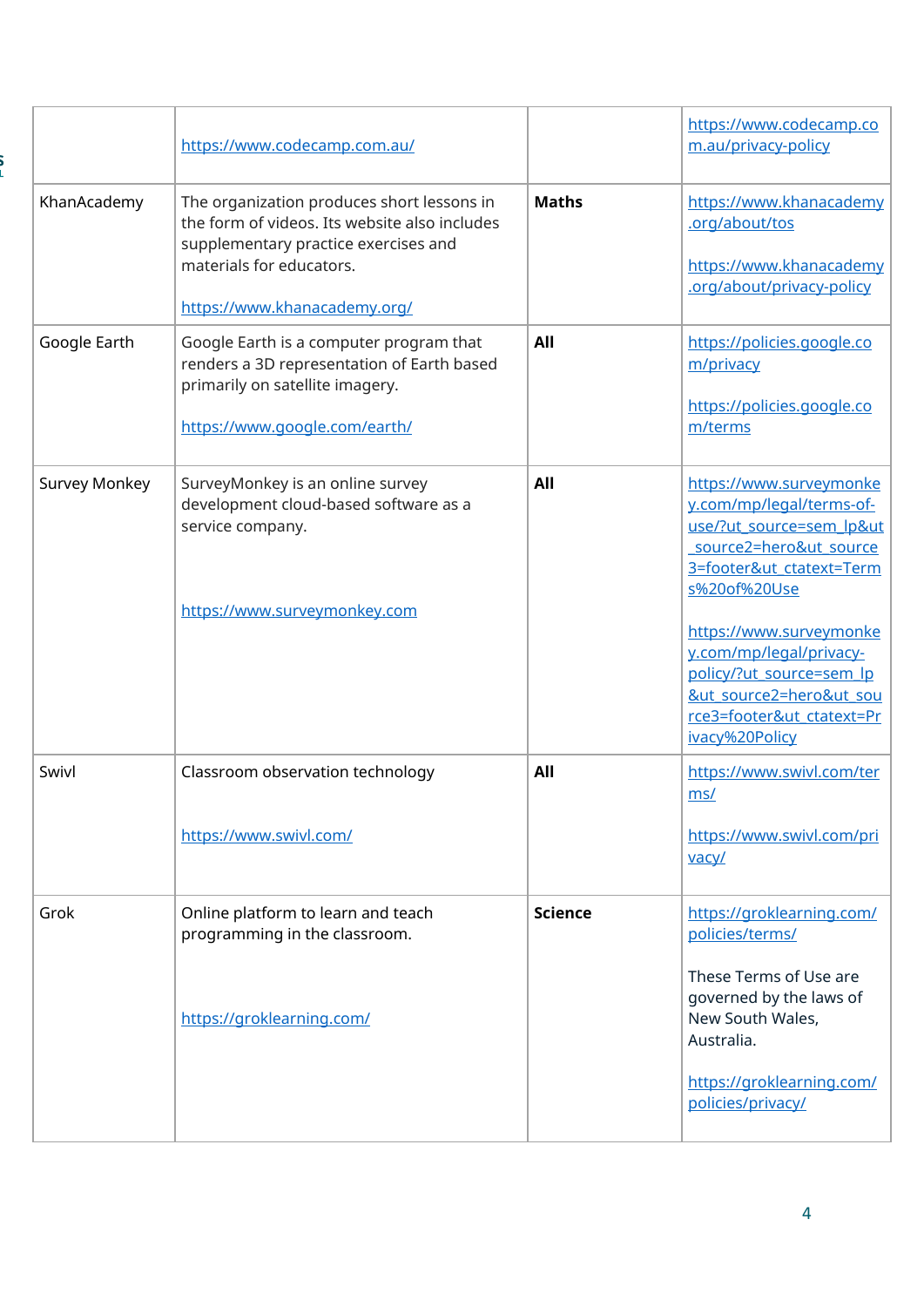|                      | https://www.codecamp.com.au/                                                                                                                                                                    |                | https://www.codecamp.co<br>m.au/privacy-policy                                                                                                                                                                                                                                                                                   |
|----------------------|-------------------------------------------------------------------------------------------------------------------------------------------------------------------------------------------------|----------------|----------------------------------------------------------------------------------------------------------------------------------------------------------------------------------------------------------------------------------------------------------------------------------------------------------------------------------|
| KhanAcademy          | The organization produces short lessons in<br>the form of videos. Its website also includes<br>supplementary practice exercises and<br>materials for educators.<br>https://www.khanacademy.org/ | <b>Maths</b>   | https://www.khanacademy<br>.org/about/tos<br>https://www.khanacademy<br>.org/about/privacy-policy                                                                                                                                                                                                                                |
| Google Earth         | Google Earth is a computer program that<br>renders a 3D representation of Earth based<br>primarily on satellite imagery.<br>https://www.google.com/earth/                                       | All            | https://policies.google.co<br>m/privacy<br>https://policies.google.co<br>m/terms                                                                                                                                                                                                                                                 |
| <b>Survey Monkey</b> | SurveyMonkey is an online survey<br>development cloud-based software as a<br>service company.<br>https://www.surveymonkey.com                                                                   | All            | https://www.surveymonke<br>y.com/mp/legal/terms-of-<br>use/?ut source=sem lp&ut<br>source2=hero&ut_source<br>3=footer&ut ctatext=Term<br>s%20of%20Use<br>https://www.surveymonke<br>y.com/mp/legal/privacy-<br>policy/?ut_source=sem_lp<br><u>&amp;ut source2=hero&amp;ut sou</u><br>rce3=footer&ut_ctatext=Pr<br>ivacy%20Policy |
| Swivl                | Classroom observation technology<br>https://www.swivl.com/                                                                                                                                      | All            | https://www.swivl.com/ter<br>ms/<br>https://www.swivl.com/pri<br>vacy/                                                                                                                                                                                                                                                           |
| Grok                 | Online platform to learn and teach<br>programming in the classroom.<br>https://groklearning.com/                                                                                                | <b>Science</b> | https://groklearning.com/<br>policies/terms/<br>These Terms of Use are<br>governed by the laws of<br>New South Wales,<br>Australia.<br>https://groklearning.com/<br>policies/privacy/                                                                                                                                            |

S<br>L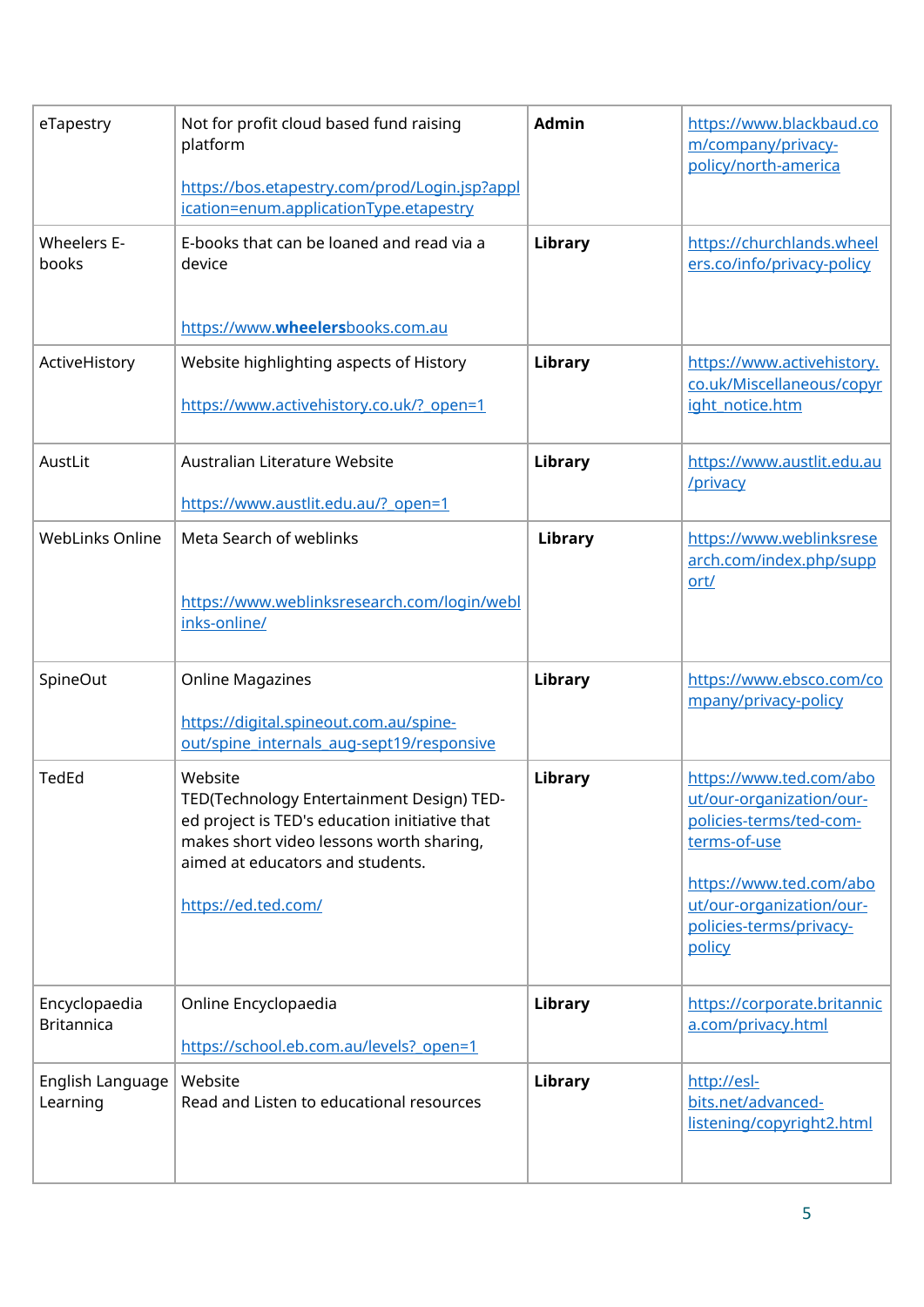| eTapestry                          | Not for profit cloud based fund raising<br>platform<br>https://bos.etapestry.com/prod/Login.jsp?appl<br>ication=enum.applicationType.etapestry                                                               | <b>Admin</b> | https://www.blackbaud.co<br>m/company/privacy-<br>policy/north-america                                                                                                                     |
|------------------------------------|--------------------------------------------------------------------------------------------------------------------------------------------------------------------------------------------------------------|--------------|--------------------------------------------------------------------------------------------------------------------------------------------------------------------------------------------|
| Wheelers E-<br>books               | E-books that can be loaned and read via a<br>device<br>https://www.wheelersbooks.com.au                                                                                                                      | Library      | https://churchlands.wheel<br>ers.co/info/privacy-policy                                                                                                                                    |
| ActiveHistory                      | Website highlighting aspects of History<br>https://www.activehistory.co.uk/? open=1                                                                                                                          | Library      | https://www.activehistory.<br>co.uk/Miscellaneous/copyr<br>ight notice.htm                                                                                                                 |
| AustLit                            | Australian Literature Website<br>https://www.austlit.edu.au/? open=1                                                                                                                                         | Library      | https://www.austlit.edu.au<br>/privacy                                                                                                                                                     |
| <b>WebLinks Online</b>             | Meta Search of weblinks<br>https://www.weblinksresearch.com/login/webl<br>inks-online/                                                                                                                       | Library      | https://www.weblinksrese<br>arch.com/index.php/supp<br>ort/                                                                                                                                |
| SpineOut                           | <b>Online Magazines</b><br>https://digital.spineout.com.au/spine-<br>out/spine_internals_aug-sept19/responsive                                                                                               | Library      | https://www.ebsco.com/co<br>mpany/privacy-policy                                                                                                                                           |
| <b>TedEd</b>                       | Website<br>TED(Technology Entertainment Design) TED-<br>ed project is TED's education initiative that<br>makes short video lessons worth sharing,<br>aimed at educators and students.<br>https://ed.ted.com/ | Library      | https://www.ted.com/abo<br>ut/our-organization/our-<br>policies-terms/ted-com-<br>terms-of-use<br>https://www.ted.com/abo<br>ut/our-organization/our-<br>policies-terms/privacy-<br>policy |
| Encyclopaedia<br><b>Britannica</b> | Online Encyclopaedia<br>https://school.eb.com.au/levels? open=1                                                                                                                                              | Library      | https://corporate.britannic<br>a.com/privacy.html                                                                                                                                          |
| English Language<br>Learning       | Website<br>Read and Listen to educational resources                                                                                                                                                          | Library      | http://esl-<br>bits.net/advanced-<br>listening/copyright2.html                                                                                                                             |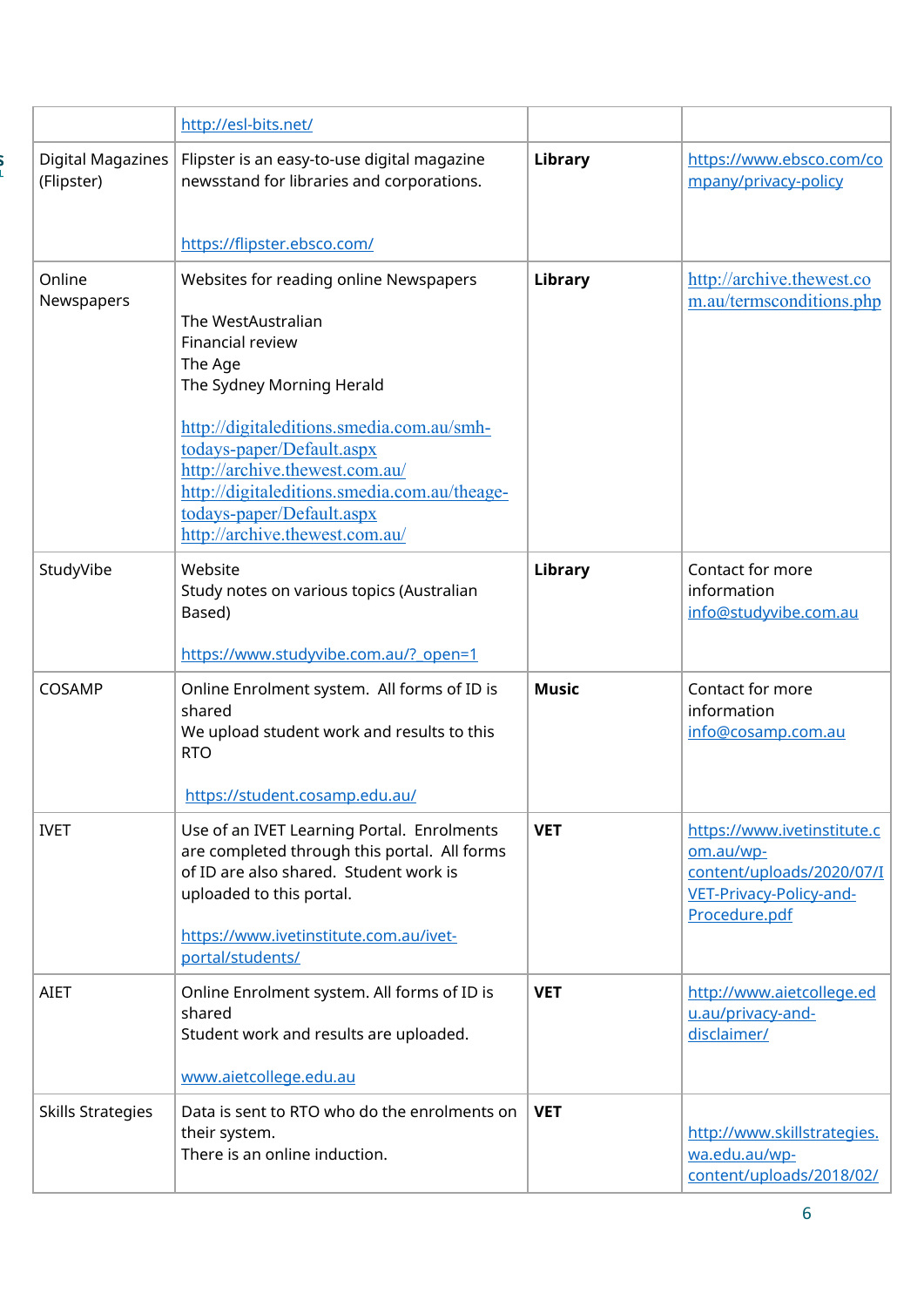|                                 | http://esl-bits.net/                                                                                                                                                                                                                                                                                                                                |                |                                                                                                                   |
|---------------------------------|-----------------------------------------------------------------------------------------------------------------------------------------------------------------------------------------------------------------------------------------------------------------------------------------------------------------------------------------------------|----------------|-------------------------------------------------------------------------------------------------------------------|
| Digital Magazines<br>(Flipster) | Flipster is an easy-to-use digital magazine<br>newsstand for libraries and corporations.                                                                                                                                                                                                                                                            | <b>Library</b> | https://www.ebsco.com/co<br>mpany/privacy-policy                                                                  |
|                                 | https://flipster.ebsco.com/                                                                                                                                                                                                                                                                                                                         |                |                                                                                                                   |
| Online<br>Newspapers            | Websites for reading online Newspapers<br>The WestAustralian<br>Financial review<br>The Age<br>The Sydney Morning Herald<br>http://digitaleditions.smedia.com.au/smh-<br>todays-paper/Default.aspx<br>http://archive.thewest.com.au/<br>http://digitaleditions.smedia.com.au/theage-<br>todays-paper/Default.aspx<br>http://archive.thewest.com.au/ | Library        | http://archive.thewest.co<br>m.au/termsconditions.php                                                             |
| StudyVibe                       | Website<br>Study notes on various topics (Australian<br>Based)<br>https://www.studyvibe.com.au/? open=1                                                                                                                                                                                                                                             | Library        | Contact for more<br>information<br>info@studyvibe.com.au                                                          |
| COSAMP                          | Online Enrolment system. All forms of ID is<br>shared<br>We upload student work and results to this<br><b>RTO</b><br>https://student.cosamp.edu.au/                                                                                                                                                                                                 | <b>Music</b>   | Contact for more<br>information<br>info@cosamp.com.au                                                             |
| <b>IVET</b>                     | Use of an IVET Learning Portal. Enrolments<br>are completed through this portal. All forms<br>of ID are also shared. Student work is<br>uploaded to this portal.<br>https://www.ivetinstitute.com.au/ivet-<br>portal/students/                                                                                                                      | <b>VET</b>     | https://www.ivetinstitute.c<br>om.au/wp-<br>content/uploads/2020/07/I<br>VET-Privacy-Policy-and-<br>Procedure.pdf |
| <b>AIET</b>                     | Online Enrolment system. All forms of ID is<br>shared<br>Student work and results are uploaded.<br>www.aietcollege.edu.au                                                                                                                                                                                                                           | <b>VET</b>     | http://www.aietcollege.ed<br>u.au/privacy-and-<br>disclaimer/                                                     |
| <b>Skills Strategies</b>        | Data is sent to RTO who do the enrolments on<br>their system.<br>There is an online induction.                                                                                                                                                                                                                                                      | <b>VET</b>     | http://www.skillstrategies.<br>wa.edu.au/wp-<br>content/uploads/2018/02/                                          |

S<br>L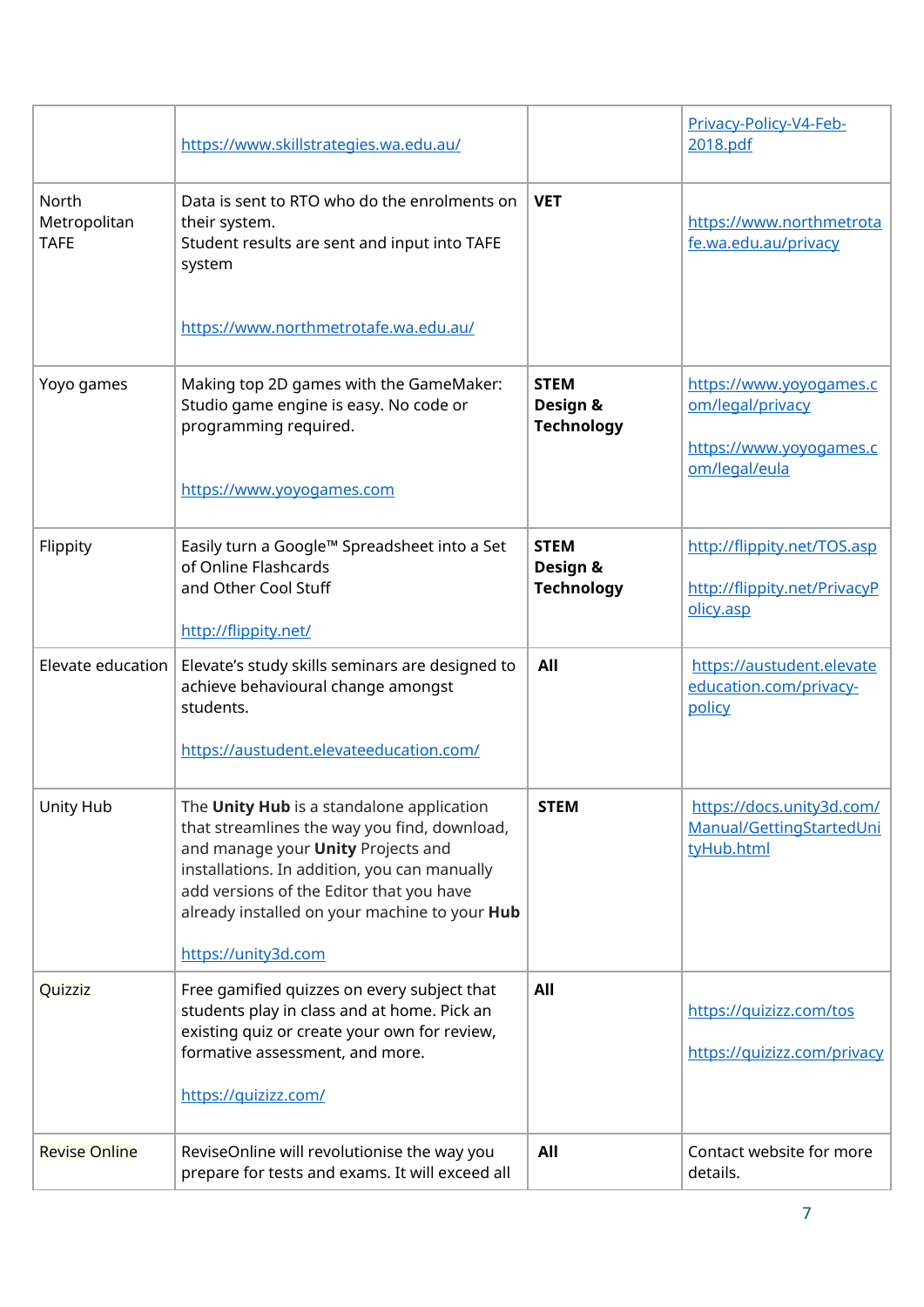|                                      | https://www.skillstrategies.wa.edu.au/                                                                                                                                                                                                                                                                     |                                              | Privacy-Policy-V4-Feb-<br>2018.pdf                                                      |
|--------------------------------------|------------------------------------------------------------------------------------------------------------------------------------------------------------------------------------------------------------------------------------------------------------------------------------------------------------|----------------------------------------------|-----------------------------------------------------------------------------------------|
| North<br>Metropolitan<br><b>TAFE</b> | Data is sent to RTO who do the enrolments on<br>their system.<br>Student results are sent and input into TAFE<br>system                                                                                                                                                                                    | <b>VET</b>                                   | https://www.northmetrota<br>fe.wa.edu.au/privacy                                        |
|                                      | https://www.northmetrotafe.wa.edu.au/                                                                                                                                                                                                                                                                      |                                              |                                                                                         |
| Yoyo games                           | Making top 2D games with the GameMaker:<br>Studio game engine is easy. No code or<br>programming required.<br>https://www.yoyogames.com                                                                                                                                                                    | <b>STEM</b><br>Design &<br><b>Technology</b> | https://www.yoyogames.c<br>om/legal/privacy<br>https://www.yoyogames.c<br>om/legal/eula |
| Flippity                             | Easily turn a Google™ Spreadsheet into a Set<br>of Online Flashcards<br>and Other Cool Stuff<br>http://flippity.net/                                                                                                                                                                                       | <b>STEM</b><br>Design &<br><b>Technology</b> | http://flippity.net/TOS.asp<br>http://flippity.net/PrivacyP<br>olicy.asp                |
| Elevate education                    | Elevate's study skills seminars are designed to<br>achieve behavioural change amongst<br>students.<br>https://austudent.elevateeducation.com/                                                                                                                                                              | All                                          | https://austudent.elevate<br>education.com/privacy-<br>policy                           |
| Unity Hub                            | The Unity Hub is a standalone application<br>that streamlines the way you find, download,<br>and manage your <b>Unity</b> Projects and<br>installations. In addition, you can manually<br>add versions of the Editor that you have<br>already installed on your machine to your Hub<br>https://unity3d.com | <b>STEM</b>                                  | https://docs.unity3d.com/<br>Manual/GettingStartedUni<br>tyHub.html                     |
| Quizziz                              | Free gamified quizzes on every subject that<br>students play in class and at home. Pick an<br>existing quiz or create your own for review,<br>formative assessment, and more.<br>https://quizizz.com/                                                                                                      | All                                          | https://quizizz.com/tos<br>https://quizizz.com/privacy                                  |
| <b>Revise Online</b>                 | ReviseOnline will revolutionise the way you<br>prepare for tests and exams. It will exceed all                                                                                                                                                                                                             | All                                          | Contact website for more<br>details.                                                    |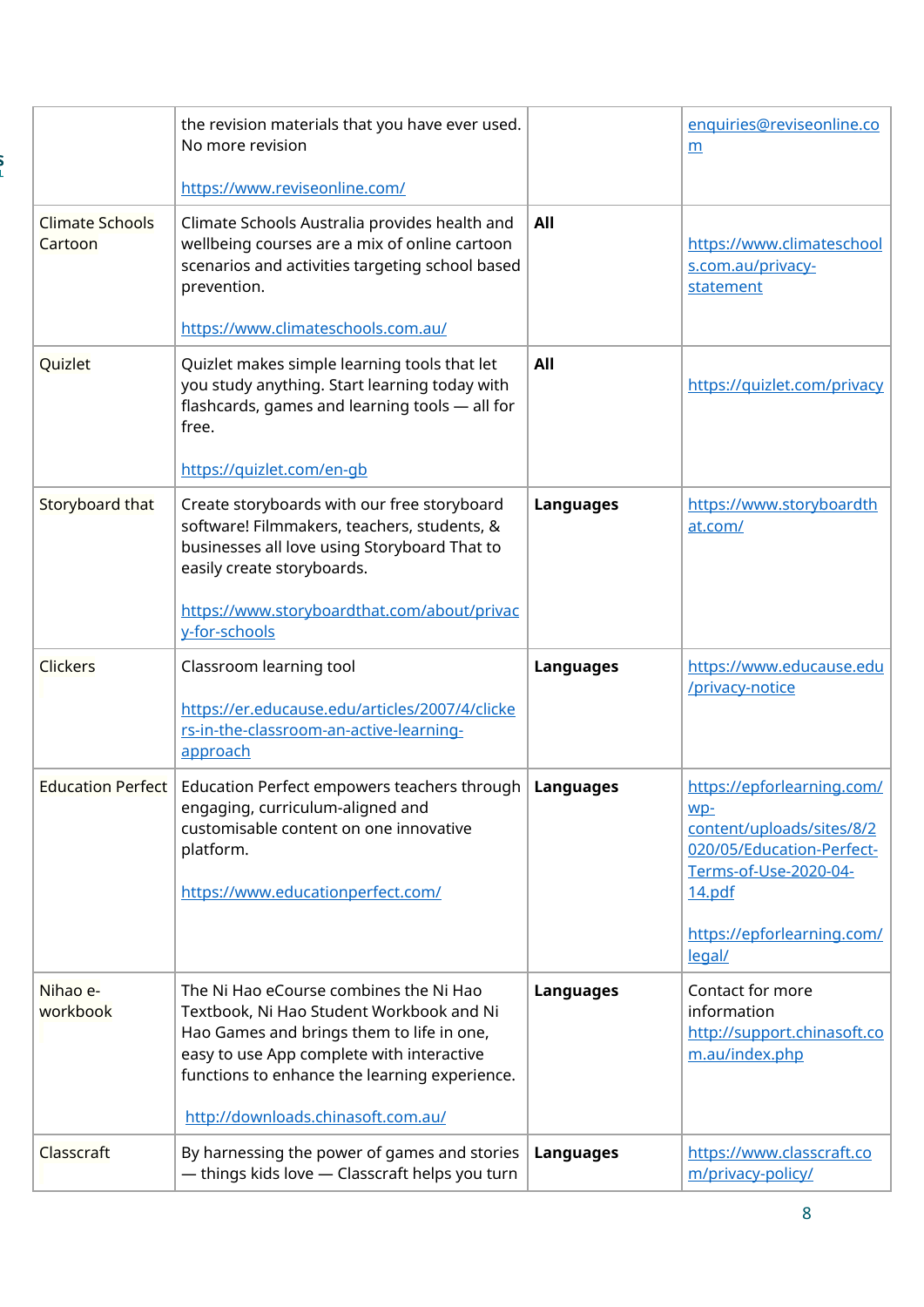|                                   | the revision materials that you have ever used.<br>No more revision                                                                                                                                                                                                 |                  | enquiries@reviseonline.co<br>m                                                                                                                                           |
|-----------------------------------|---------------------------------------------------------------------------------------------------------------------------------------------------------------------------------------------------------------------------------------------------------------------|------------------|--------------------------------------------------------------------------------------------------------------------------------------------------------------------------|
|                                   | https://www.reviseonline.com/                                                                                                                                                                                                                                       |                  |                                                                                                                                                                          |
| <b>Climate Schools</b><br>Cartoon | Climate Schools Australia provides health and<br>wellbeing courses are a mix of online cartoon<br>scenarios and activities targeting school based<br>prevention.<br>https://www.climateschools.com.au/                                                              | All              | https://www.climateschool<br>s.com.au/privacy-<br>statement                                                                                                              |
| Quizlet                           | Quizlet makes simple learning tools that let<br>you study anything. Start learning today with<br>flashcards, games and learning tools - all for<br>free.<br>https://quizlet.com/en-gb                                                                               | All              | https://quizlet.com/privacy                                                                                                                                              |
| Storyboard that                   | Create storyboards with our free storyboard<br>software! Filmmakers, teachers, students, &<br>businesses all love using Storyboard That to<br>easily create storyboards.<br>https://www.storyboardthat.com/about/privac<br>y-for-schools                            | <b>Languages</b> | https://www.storyboardth<br>at.com/                                                                                                                                      |
| <b>Clickers</b>                   | Classroom learning tool<br>https://er.educause.edu/articles/2007/4/clicke<br>rs-in-the-classroom-an-active-learning-<br>approach                                                                                                                                    | <b>Languages</b> | https://www.educause.edu<br>/privacy-notice                                                                                                                              |
| <b>Education Perfect</b>          | Education Perfect empowers teachers through   Languages<br>engaging, curriculum-aligned and<br>customisable content on one innovative<br>platform.<br>https://www.educationperfect.com/                                                                             |                  | https://epforlearning.com/<br>$WD-$<br>content/uploads/sites/8/2<br>020/05/Education-Perfect-<br>Terms-of-Use-2020-04-<br>14.pdf<br>https://epforlearning.com/<br>legal/ |
| Nihao e-<br>workbook              | The Ni Hao eCourse combines the Ni Hao<br>Textbook, Ni Hao Student Workbook and Ni<br>Hao Games and brings them to life in one,<br>easy to use App complete with interactive<br>functions to enhance the learning experience.<br>http://downloads.chinasoft.com.au/ | <b>Languages</b> | Contact for more<br>information<br>http://support.chinasoft.co<br>m.au/index.php                                                                                         |
| Classcraft                        | By harnessing the power of games and stories<br>- things kids love - Classcraft helps you turn                                                                                                                                                                      | <b>Languages</b> | https://www.classcraft.co<br>m/privacy-policy/                                                                                                                           |

j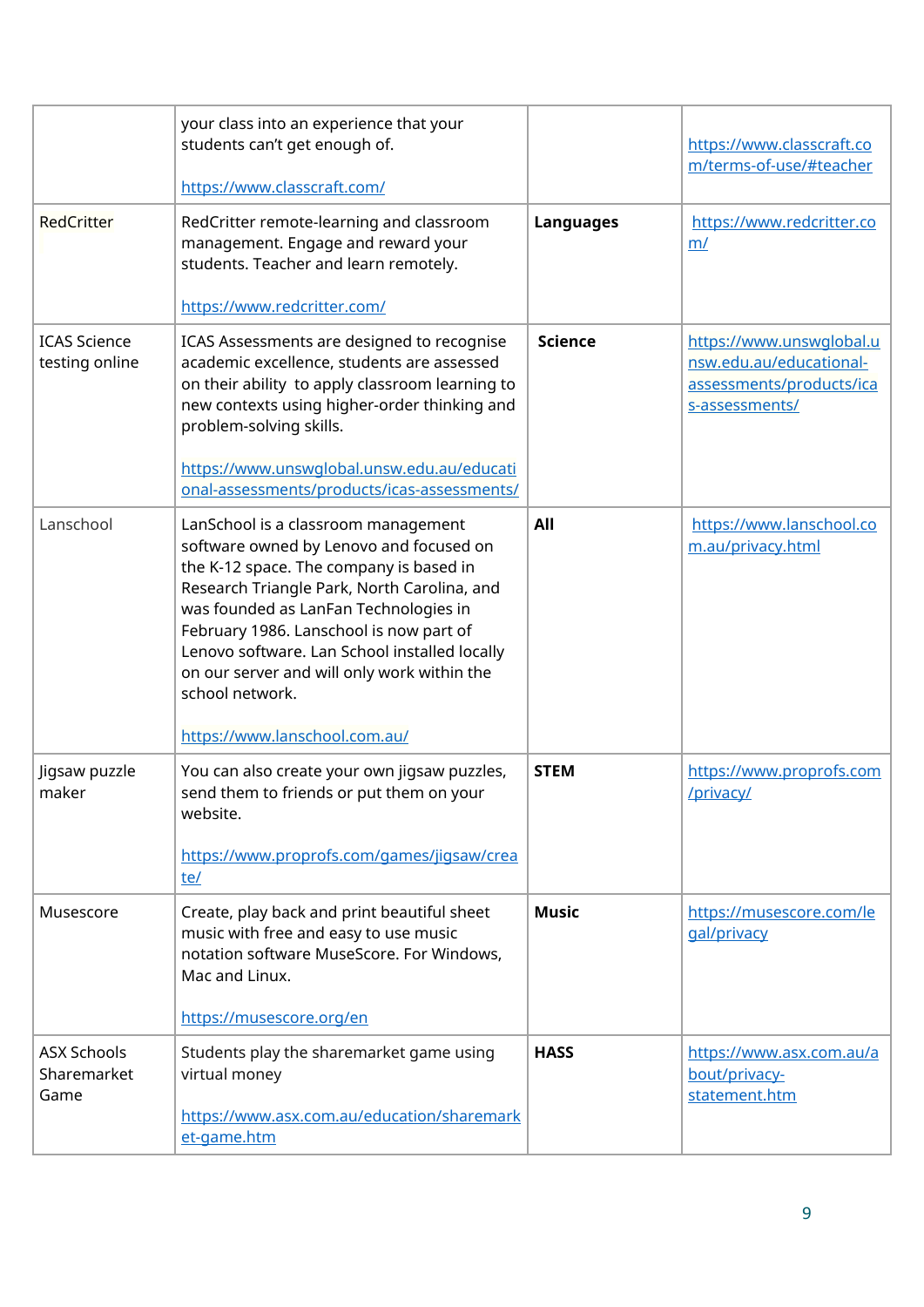|                                           | your class into an experience that your<br>students can't get enough of.<br>https://www.classcraft.com/                                                                                                                                                                                                                                                                                                          |                  | https://www.classcraft.co<br>m/terms-of-use/#teacher                                              |
|-------------------------------------------|------------------------------------------------------------------------------------------------------------------------------------------------------------------------------------------------------------------------------------------------------------------------------------------------------------------------------------------------------------------------------------------------------------------|------------------|---------------------------------------------------------------------------------------------------|
| <b>RedCritter</b>                         | RedCritter remote-learning and classroom<br>management. Engage and reward your<br>students. Teacher and learn remotely.<br>https://www.redcritter.com/                                                                                                                                                                                                                                                           | <b>Languages</b> | https://www.redcritter.co<br>m/                                                                   |
| <b>ICAS Science</b><br>testing online     | ICAS Assessments are designed to recognise<br>academic excellence, students are assessed<br>on their ability to apply classroom learning to<br>new contexts using higher-order thinking and<br>problem-solving skills.<br>https://www.unswglobal.unsw.edu.au/educati<br>onal-assessments/products/icas-assessments/                                                                                              | <b>Science</b>   | https://www.unswqlobal.u<br>nsw.edu.au/educational-<br>assessments/products/ica<br>s-assessments/ |
| Lanschool                                 | LanSchool is a classroom management<br>software owned by Lenovo and focused on<br>the K-12 space. The company is based in<br>Research Triangle Park, North Carolina, and<br>was founded as LanFan Technologies in<br>February 1986. Lanschool is now part of<br>Lenovo software. Lan School installed locally<br>on our server and will only work within the<br>school network.<br>https://www.lanschool.com.au/ | All              | https://www.lanschool.co<br>m.au/privacy.html                                                     |
| Jigsaw puzzle<br>maker                    | You can also create your own jigsaw puzzles,<br>send them to friends or put them on your<br>website.<br>https://www.proprofs.com/games/jigsaw/crea<br>te/                                                                                                                                                                                                                                                        | <b>STEM</b>      | https://www.proprofs.com<br>/privacy/                                                             |
| Musescore                                 | Create, play back and print beautiful sheet<br>music with free and easy to use music<br>notation software MuseScore. For Windows,<br>Mac and Linux.<br>https://musescore.org/en                                                                                                                                                                                                                                  | <b>Music</b>     | https://musescore.com/le<br>gal/privacy                                                           |
| <b>ASX Schools</b><br>Sharemarket<br>Game | Students play the sharemarket game using<br>virtual money<br>https://www.asx.com.au/education/sharemark<br>et-game.htm                                                                                                                                                                                                                                                                                           | <b>HASS</b>      | https://www.asx.com.au/a<br>bout/privacy-<br>statement.htm                                        |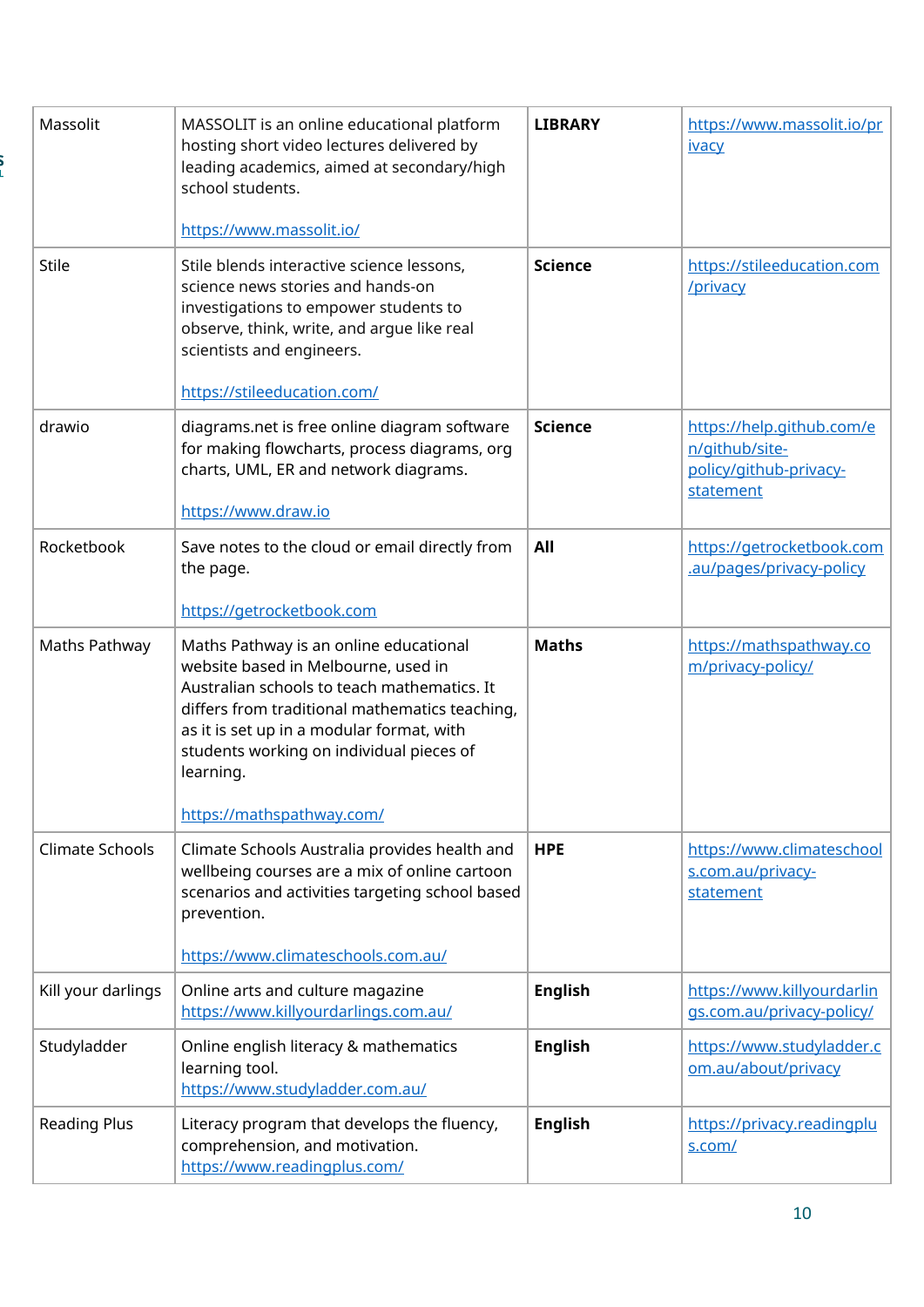| Massolit               | MASSOLIT is an online educational platform<br>hosting short video lectures delivered by                                                                                                                                                                                                                           | <b>LIBRARY</b> | https://www.massolit.io/pr<br><b>ivacy</b>                                         |
|------------------------|-------------------------------------------------------------------------------------------------------------------------------------------------------------------------------------------------------------------------------------------------------------------------------------------------------------------|----------------|------------------------------------------------------------------------------------|
|                        | leading academics, aimed at secondary/high<br>school students.                                                                                                                                                                                                                                                    |                |                                                                                    |
|                        | https://www.massolit.io/                                                                                                                                                                                                                                                                                          |                |                                                                                    |
| <b>Stile</b>           | Stile blends interactive science lessons,<br>science news stories and hands-on<br>investigations to empower students to<br>observe, think, write, and arque like real<br>scientists and engineers.<br>https://stileeducation.com/                                                                                 | <b>Science</b> | https://stileeducation.com<br>/privacy                                             |
| drawio                 | diagrams.net is free online diagram software<br>for making flowcharts, process diagrams, org<br>charts, UML, ER and network diagrams.<br>https://www.draw.io                                                                                                                                                      | <b>Science</b> | https://help.github.com/e<br>n/github/site-<br>policy/github-privacy-<br>statement |
| Rocketbook             | Save notes to the cloud or email directly from<br>the page.<br>https://getrocketbook.com                                                                                                                                                                                                                          | All            | https://getrocketbook.com<br>.au/pages/privacy-policy                              |
| Maths Pathway          | Maths Pathway is an online educational<br>website based in Melbourne, used in<br>Australian schools to teach mathematics. It<br>differs from traditional mathematics teaching,<br>as it is set up in a modular format, with<br>students working on individual pieces of<br>learning.<br>https://mathspathway.com/ | <b>Maths</b>   | https://mathspathway.co<br>m/privacy-policy/                                       |
| <b>Climate Schools</b> | Climate Schools Australia provides health and<br>wellbeing courses are a mix of online cartoon<br>scenarios and activities targeting school based<br>prevention.<br>https://www.climateschools.com.au/                                                                                                            | <b>HPE</b>     | https://www.climateschool<br>s.com.au/privacy-<br>statement                        |
| Kill your darlings     | Online arts and culture magazine<br>https://www.killyourdarlings.com.au/                                                                                                                                                                                                                                          | <b>English</b> | https://www.killyourdarlin<br>gs.com.au/privacy-policy/                            |
| Studyladder            | Online english literacy & mathematics<br>learning tool.<br>https://www.studyladder.com.au/                                                                                                                                                                                                                        | <b>English</b> | https://www.studyladder.c<br>om.au/about/privacy                                   |
| <b>Reading Plus</b>    | Literacy program that develops the fluency,<br>comprehension, and motivation.<br>https://www.readingplus.com/                                                                                                                                                                                                     | <b>English</b> | https://privacy.readingplu<br>s.com/                                               |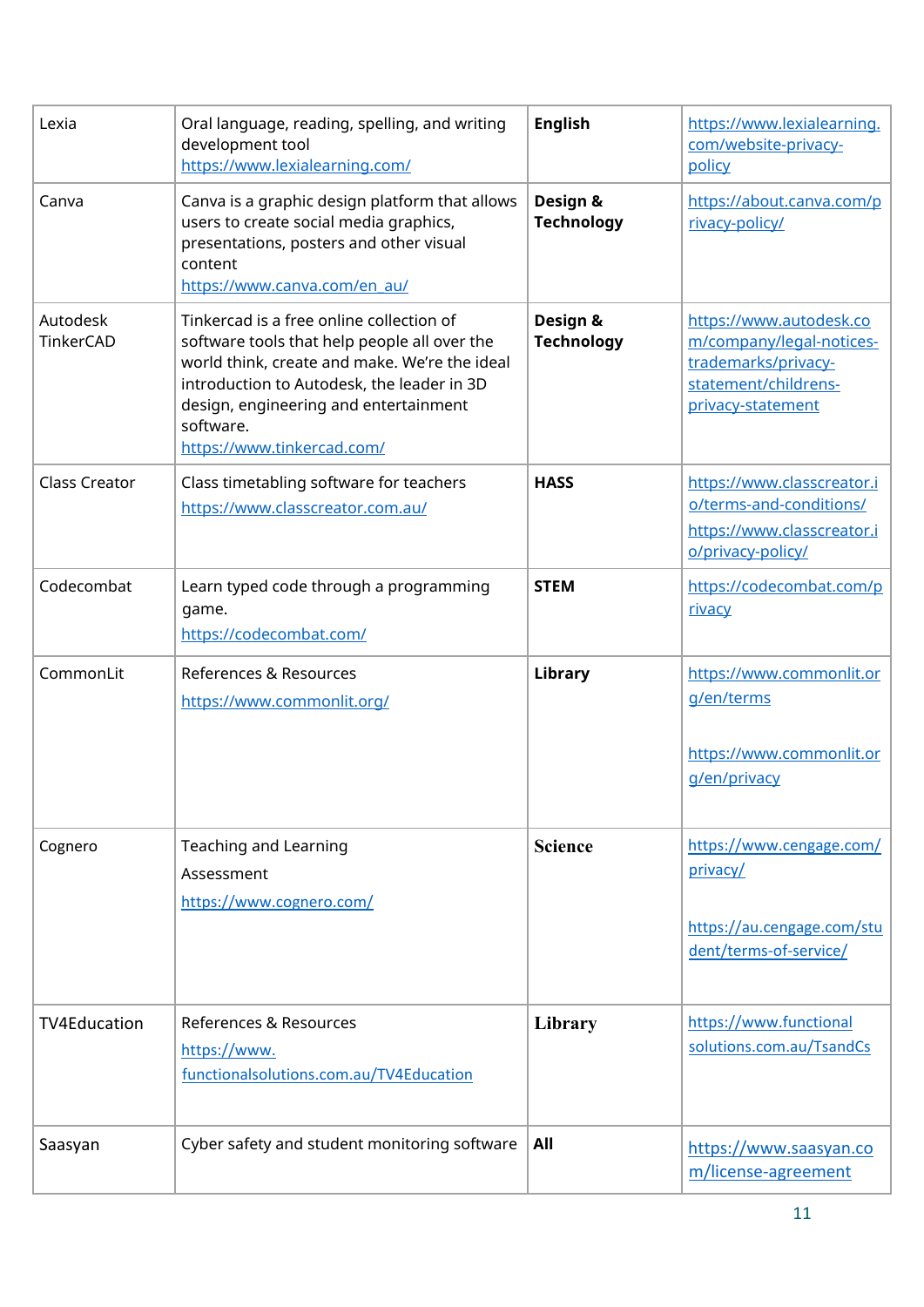| Lexia                 | Oral language, reading, spelling, and writing<br>development tool<br>https://www.lexialearning.com/                                                                                                                                                                         | <b>English</b>                | https://www.lexialearning.<br>com/website-privacy-<br>policy                                                            |
|-----------------------|-----------------------------------------------------------------------------------------------------------------------------------------------------------------------------------------------------------------------------------------------------------------------------|-------------------------------|-------------------------------------------------------------------------------------------------------------------------|
| Canva                 | Canva is a graphic design platform that allows<br>users to create social media graphics,<br>presentations, posters and other visual<br>content<br>https://www.canva.com/en_au/                                                                                              | Design &<br><b>Technology</b> | https://about.canva.com/p<br>rivacy-policy/                                                                             |
| Autodesk<br>TinkerCAD | Tinkercad is a free online collection of<br>software tools that help people all over the<br>world think, create and make. We're the ideal<br>introduction to Autodesk, the leader in 3D<br>design, engineering and entertainment<br>software.<br>https://www.tinkercad.com/ | Design &<br><b>Technology</b> | https://www.autodesk.co<br>m/company/legal-notices-<br>trademarks/privacy-<br>statement/childrens-<br>privacy-statement |
| <b>Class Creator</b>  | Class timetabling software for teachers<br>https://www.classcreator.com.au/                                                                                                                                                                                                 | <b>HASS</b>                   | https://www.classcreator.i<br>o/terms-and-conditions/<br>https://www.classcreator.i<br>o/privacy-policy/                |
| Codecombat            | Learn typed code through a programming<br>game.<br>https://codecombat.com/                                                                                                                                                                                                  | <b>STEM</b>                   | https://codecombat.com/p<br><u>rivacy</u>                                                                               |
| CommonLit             | References & Resources<br>https://www.commonlit.org/                                                                                                                                                                                                                        | Library                       | https://www.commonlit.or<br>g/en/terms<br>https://www.commonlit.or<br>g/en/privacy                                      |
| Cognero               | <b>Teaching and Learning</b><br>Assessment<br>https://www.cognero.com/                                                                                                                                                                                                      | <b>Science</b>                | https://www.cengage.com/<br>privacy/<br>https://au.cengage.com/stu<br>dent/terms-of-service/                            |
| <b>TV4Education</b>   | References & Resources<br>https://www.<br>functionalsolutions.com.au/TV4Education                                                                                                                                                                                           | Library                       | https://www.functional<br>solutions.com.au/TsandCs                                                                      |
| Saasyan               | Cyber safety and student monitoring software                                                                                                                                                                                                                                | All                           | https://www.saasyan.co<br>m/license-agreement                                                                           |